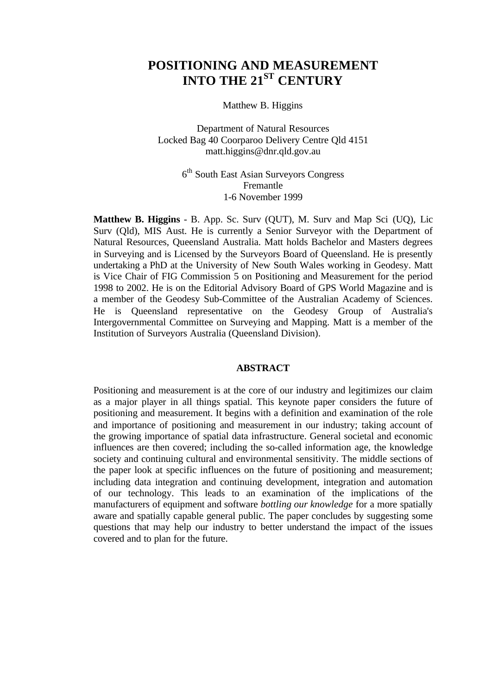# **POSITIONING AND MEASUREMENT INTO THE 21ST CENTURY**

Matthew B. Higgins

Department of Natural Resources Locked Bag 40 Coorparoo Delivery Centre Qld 4151 matt.higgins@dnr.qld.gov.au

> 6<sup>th</sup> South East Asian Surveyors Congress Fremantle 1-6 November 1999

**Matthew B. Higgins** - B. App. Sc. Surv (QUT), M. Surv and Map Sci (UQ), Lic Surv (Qld), MIS Aust. He is currently a Senior Surveyor with the Department of Natural Resources, Queensland Australia. Matt holds Bachelor and Masters degrees in Surveying and is Licensed by the Surveyors Board of Queensland. He is presently undertaking a PhD at the University of New South Wales working in Geodesy. Matt is Vice Chair of FIG Commission 5 on Positioning and Measurement for the period 1998 to 2002. He is on the Editorial Advisory Board of GPS World Magazine and is a member of the Geodesy Sub-Committee of the Australian Academy of Sciences. He is Queensland representative on the Geodesy Group of Australia's Intergovernmental Committee on Surveying and Mapping. Matt is a member of the Institution of Surveyors Australia (Queensland Division).

#### **ABSTRACT**

Positioning and measurement is at the core of our industry and legitimizes our claim as a major player in all things spatial. This keynote paper considers the future of positioning and measurement. It begins with a definition and examination of the role and importance of positioning and measurement in our industry; taking account of the growing importance of spatial data infrastructure. General societal and economic influences are then covered; including the so-called information age, the knowledge society and continuing cultural and environmental sensitivity. The middle sections of the paper look at specific influences on the future of positioning and measurement; including data integration and continuing development, integration and automation of our technology. This leads to an examination of the implications of the manufacturers of equipment and software *bottling our knowledge* for a more spatially aware and spatially capable general public. The paper concludes by suggesting some questions that may help our industry to better understand the impact of the issues covered and to plan for the future.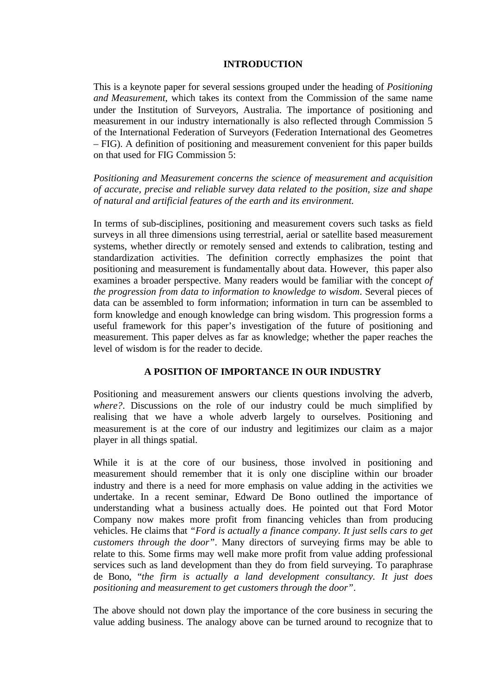### **INTRODUCTION**

This is a keynote paper for several sessions grouped under the heading of *Positioning and Measurement*, which takes its context from the Commission of the same name under the Institution of Surveyors, Australia. The importance of positioning and measurement in our industry internationally is also reflected through Commission 5 of the International Federation of Surveyors (Federation International des Geometres – FIG). A definition of positioning and measurement convenient for this paper builds on that used for FIG Commission 5:

*Positioning and Measurement concerns the science of measurement and acquisition of accurate, precise and reliable survey data related to the position, size and shape of natural and artificial features of the earth and its environment.*

In terms of sub-disciplines, positioning and measurement covers such tasks as field surveys in all three dimensions using terrestrial, aerial or satellite based measurement systems, whether directly or remotely sensed and extends to calibration, testing and standardization activities. The definition correctly emphasizes the point that positioning and measurement is fundamentally about data. However, this paper also examines a broader perspective. Many readers would be familiar with the concept *of the progression from data to information to knowledge to wisdom*. Several pieces of data can be assembled to form information; information in turn can be assembled to form knowledge and enough knowledge can bring wisdom. This progression forms a useful framework for this paper's investigation of the future of positioning and measurement. This paper delves as far as knowledge; whether the paper reaches the level of wisdom is for the reader to decide.

# **A POSITION OF IMPORTANCE IN OUR INDUSTRY**

Positioning and measurement answers our clients questions involving the adverb, *where?*. Discussions on the role of our industry could be much simplified by realising that we have a whole adverb largely to ourselves. Positioning and measurement is at the core of our industry and legitimizes our claim as a major player in all things spatial.

While it is at the core of our business, those involved in positioning and measurement should remember that it is only one discipline within our broader industry and there is a need for more emphasis on value adding in the activities we undertake. In a recent seminar, Edward De Bono outlined the importance of understanding what a business actually does. He pointed out that Ford Motor Company now makes more profit from financing vehicles than from producing vehicles. He claims that *"Ford is actually a finance company. It just sells cars to get customers through the door"*. Many directors of surveying firms may be able to relate to this. Some firms may well make more profit from value adding professional services such as land development than they do from field surveying. To paraphrase de Bono, "*the firm is actually a land development consultancy. It just does positioning and measurement to get customers through the door"*.

The above should not down play the importance of the core business in securing the value adding business. The analogy above can be turned around to recognize that to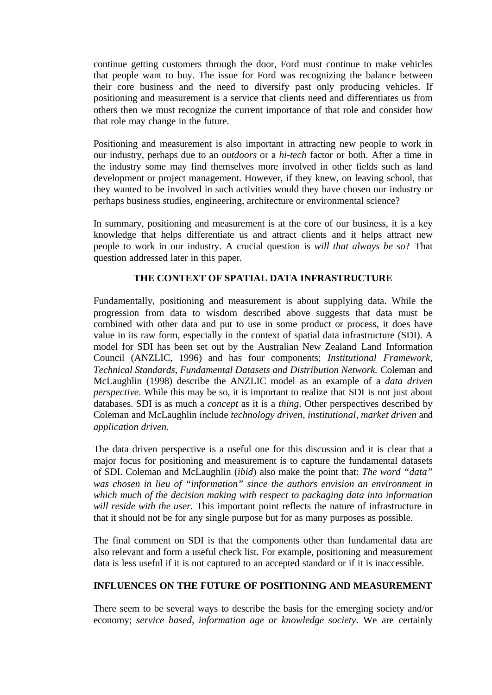continue getting customers through the door, Ford must continue to make vehicles that people want to buy. The issue for Ford was recognizing the balance between their core business and the need to diversify past only producing vehicles. If positioning and measurement is a service that clients need and differentiates us from others then we must recognize the current importance of that role and consider how that role may change in the future.

Positioning and measurement is also important in attracting new people to work in our industry, perhaps due to an *outdoors* or a *hi-tech* factor or both. After a time in the industry some may find themselves more involved in other fields such as land development or project management. However, if they knew, on leaving school, that they wanted to be involved in such activities would they have chosen our industry or perhaps business studies, engineering, architecture or environmental science?

In summary, positioning and measurement is at the core of our business, it is a key knowledge that helps differentiate us and attract clients and it helps attract new people to work in our industry. A crucial question is *will that always be so*? That question addressed later in this paper.

## **THE CONTEXT OF SPATIAL DATA INFRASTRUCTURE**

Fundamentally, positioning and measurement is about supplying data. While the progression from data to wisdom described above suggests that data must be combined with other data and put to use in some product or process, it does have value in its raw form, especially in the context of spatial data infrastructure (SDI). A model for SDI has been set out by the Australian New Zealand Land Information Council (ANZLIC, 1996) and has four components; *Institutional Framework, Technical Standards, Fundamental Datasets and Distribution Network.* Coleman and McLaughlin (1998) describe the ANZLIC model as an example of a *data driven perspective*. While this may be so, it is important to realize that SDI is not just about databases. SDI is as much a *concept* as it is a *thing*. Other perspectives described by Coleman and McLaughlin include *technology driven, institutional, market driven* and *application driven*.

The data driven perspective is a useful one for this discussion and it is clear that a major focus for positioning and measurement is to capture the fundamental datasets of SDI. Coleman and McLaughlin (*ibid*) also make the point that: *The word "data" was chosen in lieu of "information" since the authors envision an environment in which much of the decision making with respect to packaging data into information will reside with the user.* This important point reflects the nature of infrastructure in that it should not be for any single purpose but for as many purposes as possible.

The final comment on SDI is that the components other than fundamental data are also relevant and form a useful check list. For example, positioning and measurement data is less useful if it is not captured to an accepted standard or if it is inaccessible.

# **INFLUENCES ON THE FUTURE OF POSITIONING AND MEASUREMENT**

There seem to be several ways to describe the basis for the emerging society and/or economy; *service based*, *information age or knowledge society*. We are certainly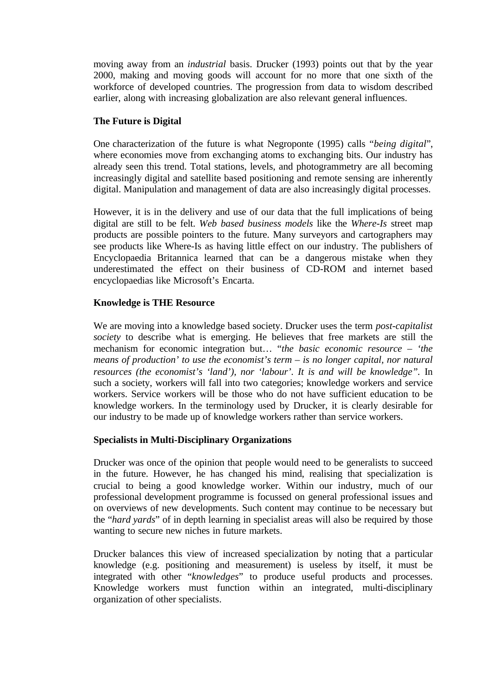moving away from an *industrial* basis. Drucker (1993) points out that by the year 2000, making and moving goods will account for no more that one sixth of the workforce of developed countries. The progression from data to wisdom described earlier, along with increasing globalization are also relevant general influences.

## **The Future is Digital**

One characterization of the future is what Negroponte (1995) calls "*being digital*", where economies move from exchanging atoms to exchanging bits. Our industry has already seen this trend. Total stations, levels, and photogrammetry are all becoming increasingly digital and satellite based positioning and remote sensing are inherently digital. Manipulation and management of data are also increasingly digital processes.

However, it is in the delivery and use of our data that the full implications of being digital are still to be felt. *Web based business models* like the *Where-Is* street map products are possible pointers to the future. Many surveyors and cartographers may see products like Where-Is as having little effect on our industry. The publishers of Encyclopaedia Britannica learned that can be a dangerous mistake when they underestimated the effect on their business of CD-ROM and internet based encyclopaedias like Microsoft's Encarta.

## **Knowledge is THE Resource**

We are moving into a knowledge based society. Drucker uses the term *post-capitalist society* to describe what is emerging. He believes that free markets are still the mechanism for economic integration but… "*the basic economic resource – 'the means of production' to use the economist's term – is no longer capital, nor natural resources (the economist's 'land'), nor 'labour'. It is and will be knowledge".* In such a society, workers will fall into two categories; knowledge workers and service workers. Service workers will be those who do not have sufficient education to be knowledge workers. In the terminology used by Drucker, it is clearly desirable for our industry to be made up of knowledge workers rather than service workers.

### **Specialists in Multi-Disciplinary Organizations**

Drucker was once of the opinion that people would need to be generalists to succeed in the future. However, he has changed his mind, realising that specialization is crucial to being a good knowledge worker. Within our industry, much of our professional development programme is focussed on general professional issues and on overviews of new developments. Such content may continue to be necessary but the "*hard yards*" of in depth learning in specialist areas will also be required by those wanting to secure new niches in future markets.

Drucker balances this view of increased specialization by noting that a particular knowledge (e.g. positioning and measurement) is useless by itself, it must be integrated with other "*knowledges*" to produce useful products and processes. Knowledge workers must function within an integrated, multi-disciplinary organization of other specialists.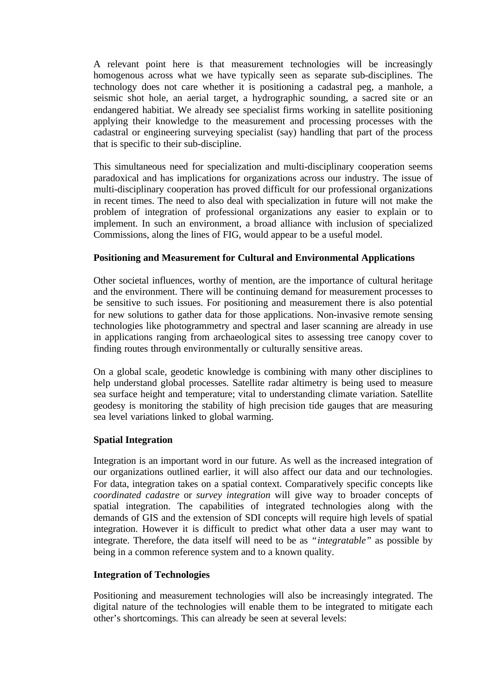A relevant point here is that measurement technologies will be increasingly homogenous across what we have typically seen as separate sub-disciplines. The technology does not care whether it is positioning a cadastral peg, a manhole, a seismic shot hole, an aerial target, a hydrographic sounding, a sacred site or an endangered habitiat. We already see specialist firms working in satellite positioning applying their knowledge to the measurement and processing processes with the cadastral or engineering surveying specialist (say) handling that part of the process that is specific to their sub-discipline.

This simultaneous need for specialization and multi-disciplinary cooperation seems paradoxical and has implications for organizations across our industry. The issue of multi-disciplinary cooperation has proved difficult for our professional organizations in recent times. The need to also deal with specialization in future will not make the problem of integration of professional organizations any easier to explain or to implement. In such an environment, a broad alliance with inclusion of specialized Commissions, along the lines of FIG, would appear to be a useful model.

## **Positioning and Measurement for Cultural and Environmental Applications**

Other societal influences, worthy of mention, are the importance of cultural heritage and the environment. There will be continuing demand for measurement processes to be sensitive to such issues. For positioning and measurement there is also potential for new solutions to gather data for those applications. Non-invasive remote sensing technologies like photogrammetry and spectral and laser scanning are already in use in applications ranging from archaeological sites to assessing tree canopy cover to finding routes through environmentally or culturally sensitive areas.

On a global scale, geodetic knowledge is combining with many other disciplines to help understand global processes. Satellite radar altimetry is being used to measure sea surface height and temperature; vital to understanding climate variation. Satellite geodesy is monitoring the stability of high precision tide gauges that are measuring sea level variations linked to global warming.

### **Spatial Integration**

Integration is an important word in our future. As well as the increased integration of our organizations outlined earlier, it will also affect our data and our technologies. For data, integration takes on a spatial context. Comparatively specific concepts like *coordinated cadastre* or *survey integration* will give way to broader concepts of spatial integration. The capabilities of integrated technologies along with the demands of GIS and the extension of SDI concepts will require high levels of spatial integration. However it is difficult to predict what other data a user may want to integrate. Therefore, the data itself will need to be as *"integratable"* as possible by being in a common reference system and to a known quality.

### **Integration of Technologies**

Positioning and measurement technologies will also be increasingly integrated. The digital nature of the technologies will enable them to be integrated to mitigate each other's shortcomings. This can already be seen at several levels: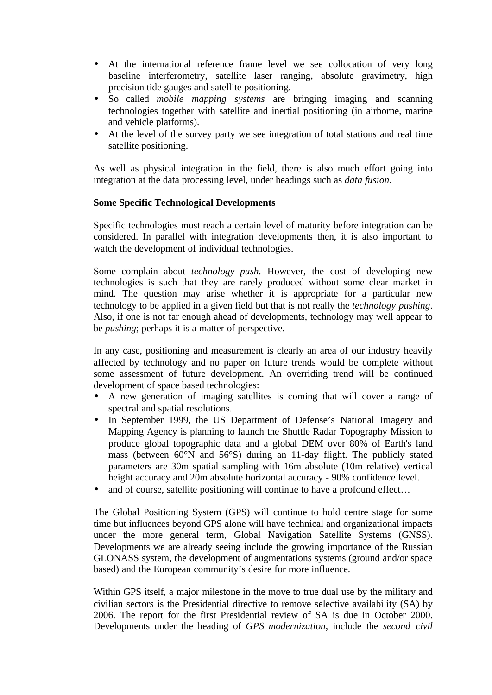- At the international reference frame level we see collocation of very long baseline interferometry, satellite laser ranging, absolute gravimetry, high precision tide gauges and satellite positioning.
- So called *mobile mapping systems* are bringing imaging and scanning technologies together with satellite and inertial positioning (in airborne, marine and vehicle platforms).
- At the level of the survey party we see integration of total stations and real time satellite positioning.

As well as physical integration in the field, there is also much effort going into integration at the data processing level, under headings such as *data fusion*.

# **Some Specific Technological Developments**

Specific technologies must reach a certain level of maturity before integration can be considered. In parallel with integration developments then, it is also important to watch the development of individual technologies.

Some complain about *technology push*. However, the cost of developing new technologies is such that they are rarely produced without some clear market in mind. The question may arise whether it is appropriate for a particular new technology to be applied in a given field but that is not really the *technology pushing*. Also, if one is not far enough ahead of developments, technology may well appear to be *pushing*; perhaps it is a matter of perspective.

In any case, positioning and measurement is clearly an area of our industry heavily affected by technology and no paper on future trends would be complete without some assessment of future development. An overriding trend will be continued development of space based technologies:

- A new generation of imaging satellites is coming that will cover a range of spectral and spatial resolutions.
- In September 1999, the US Department of Defense's National Imagery and Mapping Agency is planning to launch the Shuttle Radar Topography Mission to produce global topographic data and a global DEM over 80% of Earth's land mass (between 60°N and 56°S) during an 11-day flight. The publicly stated parameters are 30m spatial sampling with 16m absolute (10m relative) vertical height accuracy and 20m absolute horizontal accuracy - 90% confidence level.
- and of course, satellite positioning will continue to have a profound effect...

The Global Positioning System (GPS) will continue to hold centre stage for some time but influences beyond GPS alone will have technical and organizational impacts under the more general term, Global Navigation Satellite Systems (GNSS). Developments we are already seeing include the growing importance of the Russian GLONASS system, the development of augmentations systems (ground and/or space based) and the European community's desire for more influence.

Within GPS itself, a major milestone in the move to true dual use by the military and civilian sectors is the Presidential directive to remove selective availability (SA) by 2006. The report for the first Presidential review of SA is due in October 2000. Developments under the heading of *GPS modernization*, include the *second civil*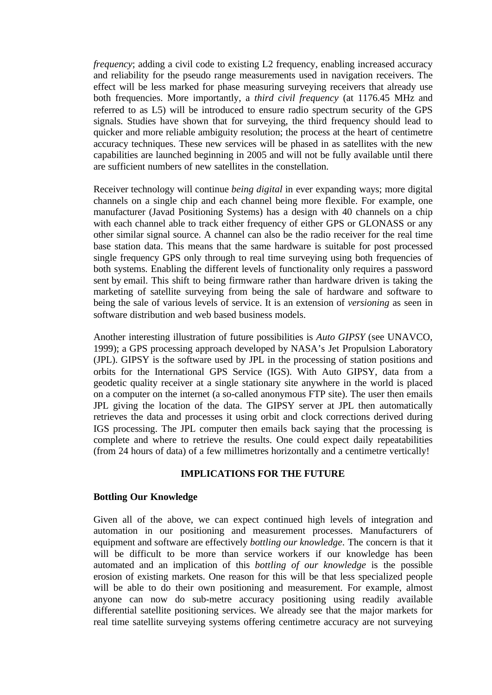*frequency*; adding a civil code to existing L2 frequency, enabling increased accuracy and reliability for the pseudo range measurements used in navigation receivers. The effect will be less marked for phase measuring surveying receivers that already use both frequencies. More importantly, a *third civil frequency* (at 1176.45 MHz and referred to as L5) will be introduced to ensure radio spectrum security of the GPS signals. Studies have shown that for surveying, the third frequency should lead to quicker and more reliable ambiguity resolution; the process at the heart of centimetre accuracy techniques. These new services will be phased in as satellites with the new capabilities are launched beginning in 2005 and will not be fully available until there are sufficient numbers of new satellites in the constellation.

Receiver technology will continue *being digital* in ever expanding ways; more digital channels on a single chip and each channel being more flexible. For example, one manufacturer (Javad Positioning Systems) has a design with 40 channels on a chip with each channel able to track either frequency of either GPS or GLONASS or any other similar signal source. A channel can also be the radio receiver for the real time base station data. This means that the same hardware is suitable for post processed single frequency GPS only through to real time surveying using both frequencies of both systems. Enabling the different levels of functionality only requires a password sent by email. This shift to being firmware rather than hardware driven is taking the marketing of satellite surveying from being the sale of hardware and software to being the sale of various levels of service. It is an extension of *versioning* as seen in software distribution and web based business models.

Another interesting illustration of future possibilities is *Auto GIPSY* (see UNAVCO, 1999); a GPS processing approach developed by NASA's Jet Propulsion Laboratory (JPL). GIPSY is the software used by JPL in the processing of station positions and orbits for the International GPS Service (IGS). With Auto GIPSY, data from a geodetic quality receiver at a single stationary site anywhere in the world is placed on a computer on the internet (a so-called anonymous FTP site). The user then emails JPL giving the location of the data. The GIPSY server at JPL then automatically retrieves the data and processes it using orbit and clock corrections derived during IGS processing. The JPL computer then emails back saying that the processing is complete and where to retrieve the results. One could expect daily repeatabilities (from 24 hours of data) of a few millimetres horizontally and a centimetre vertically!

#### **IMPLICATIONS FOR THE FUTURE**

#### **Bottling Our Knowledge**

Given all of the above, we can expect continued high levels of integration and automation in our positioning and measurement processes. Manufacturers of equipment and software are effectively *bottling our knowledge*. The concern is that it will be difficult to be more than service workers if our knowledge has been automated and an implication of this *bottling of our knowledge* is the possible erosion of existing markets. One reason for this will be that less specialized people will be able to do their own positioning and measurement. For example, almost anyone can now do sub-metre accuracy positioning using readily available differential satellite positioning services. We already see that the major markets for real time satellite surveying systems offering centimetre accuracy are not surveying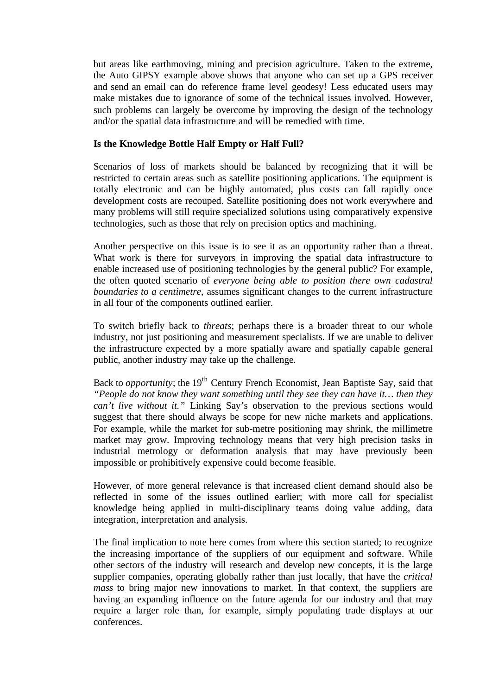but areas like earthmoving, mining and precision agriculture. Taken to the extreme, the Auto GIPSY example above shows that anyone who can set up a GPS receiver and send an email can do reference frame level geodesy! Less educated users may make mistakes due to ignorance of some of the technical issues involved. However, such problems can largely be overcome by improving the design of the technology and/or the spatial data infrastructure and will be remedied with time.

# **Is the Knowledge Bottle Half Empty or Half Full?**

Scenarios of loss of markets should be balanced by recognizing that it will be restricted to certain areas such as satellite positioning applications. The equipment is totally electronic and can be highly automated, plus costs can fall rapidly once development costs are recouped. Satellite positioning does not work everywhere and many problems will still require specialized solutions using comparatively expensive technologies, such as those that rely on precision optics and machining.

Another perspective on this issue is to see it as an opportunity rather than a threat. What work is there for surveyors in improving the spatial data infrastructure to enable increased use of positioning technologies by the general public? For example, the often quoted scenario of *everyone being able to position there own cadastral boundaries to a centimetre*, assumes significant changes to the current infrastructure in all four of the components outlined earlier.

To switch briefly back to *threats*; perhaps there is a broader threat to our whole industry, not just positioning and measurement specialists. If we are unable to deliver the infrastructure expected by a more spatially aware and spatially capable general public, another industry may take up the challenge.

Back to *opportunity*; the 19<sup>th</sup> Century French Economist, Jean Baptiste Say, said that *"People do not know they want something until they see they can have it… then they can't live without it."* Linking Say's observation to the previous sections would suggest that there should always be scope for new niche markets and applications. For example, while the market for sub-metre positioning may shrink, the millimetre market may grow. Improving technology means that very high precision tasks in industrial metrology or deformation analysis that may have previously been impossible or prohibitively expensive could become feasible.

However, of more general relevance is that increased client demand should also be reflected in some of the issues outlined earlier; with more call for specialist knowledge being applied in multi-disciplinary teams doing value adding, data integration, interpretation and analysis.

The final implication to note here comes from where this section started; to recognize the increasing importance of the suppliers of our equipment and software. While other sectors of the industry will research and develop new concepts, it is the large supplier companies, operating globally rather than just locally, that have the *critical mass* to bring major new innovations to market. In that context, the suppliers are having an expanding influence on the future agenda for our industry and that may require a larger role than, for example, simply populating trade displays at our conferences.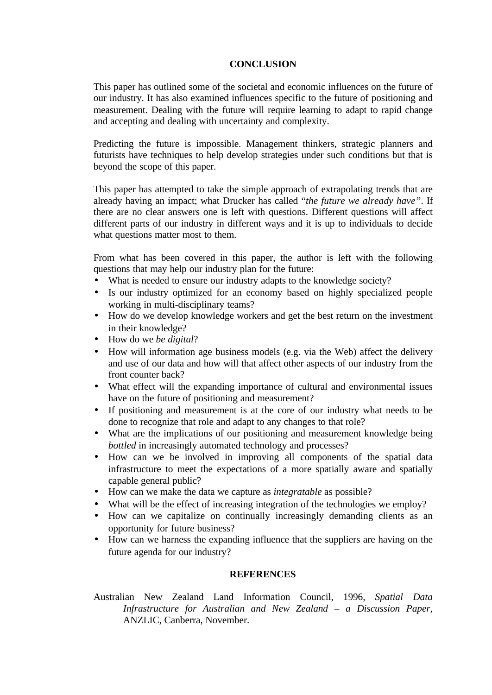### **CONCLUSION**

This paper has outlined some of the societal and economic influences on the future of our industry. It has also examined influences specific to the future of positioning and measurement. Dealing with the future will require learning to adapt to rapid change and accepting and dealing with uncertainty and complexity.

Predicting the future is impossible. Management thinkers, strategic planners and futurists have techniques to help develop strategies under such conditions but that is beyond the scope of this paper.

This paper has attempted to take the simple approach of extrapolating trends that are already having an impact; what Drucker has called "*the future we already have"*. If there are no clear answers one is left with questions. Different questions will affect different parts of our industry in different ways and it is up to individuals to decide what questions matter most to them.

From what has been covered in this paper, the author is left with the following questions that may help our industry plan for the future:

- What is needed to ensure our industry adapts to the knowledge society?
- Is our industry optimized for an economy based on highly specialized people working in multi-disciplinary teams?
- How do we develop knowledge workers and get the best return on the investment in their knowledge?
- How do we *be digital*?
- How will information age business models (e.g. via the Web) affect the delivery and use of our data and how will that affect other aspects of our industry from the front counter back?
- What effect will the expanding importance of cultural and environmental issues have on the future of positioning and measurement?
- If positioning and measurement is at the core of our industry what needs to be done to recognize that role and adapt to any changes to that role?
- What are the implications of our positioning and measurement knowledge being *bottled* in increasingly automated technology and processes?
- How can we be involved in improving all components of the spatial data infrastructure to meet the expectations of a more spatially aware and spatially capable general public?
- How can we make the data we capture as *integratable* as possible?
- What will be the effect of increasing integration of the technologies we employ?
- How can we capitalize on continually increasingly demanding clients as an opportunity for future business?
- How can we harness the expanding influence that the suppliers are having on the future agenda for our industry?

### **REFERENCES**

Australian New Zealand Land Information Council, 1996, *Spatial Data Infrastructure for Australian and New Zealand – a Discussion Paper,* ANZLIC, Canberra, November.